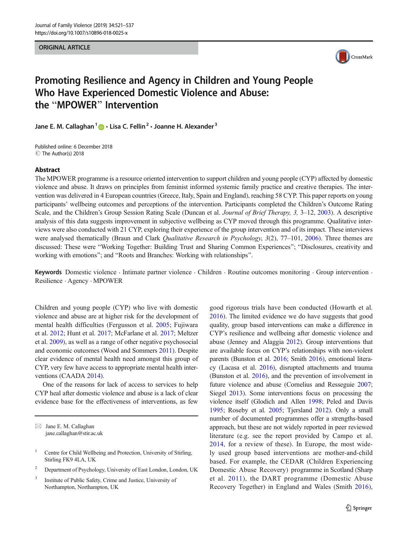#### ORIGINAL ARTICLE



# Promoting Resilience and Agency in Children and Young People Who Have Experienced Domestic Violence and Abuse: the "MPOWER" Intervention

Jane E. M. Callaghan<sup>1</sup>  $\cdot$  Lisa C. Fellin<sup>2</sup>  $\cdot$  Joanne H. Alexander<sup>3</sup>

Published online: 6 December 2018 C The Author(s) 2018

#### Abstract

The MPOWER programme is a resource oriented intervention to support children and young people (CYP) affected by domestic violence and abuse. It draws on principles from feminist informed systemic family practice and creative therapies. The intervention was delivered in 4 European countries (Greece, Italy, Spain and England), reaching 58 CYP. This paper reports on young participants' wellbeing outcomes and perceptions of the intervention. Participants completed the Children's Outcome Rating Scale, and the Children's Group Session Rating Scale (Duncan et al. Journal of Brief Therapy, 3, 3–12, [2003](#page-15-0)). A descriptive analysis of this data suggests improvement in subjective wellbeing as CYP moved through this programme. Qualitative interviews were also conducted with 21 CYP, exploring their experience of the group intervention and of its impact. These interviews were analysed thematically (Braun and Clark *Qualitative Research in Psychology, 3(2), 77–101, [2006](#page-14-0))*. Three themes are discussed: These were "Working Together: Building Trust and Sharing Common Experiences"; "Disclosures, creativity and working with emotions"; and "Roots and Branches: Working with relationships".

Keywords Domestic violence . Intimate partner violence . Children . Routine outcomes monitoring . Group intervention . Resilience . Agency . MPOWER

Children and young people (CYP) who live with domestic violence and abuse are at higher risk for the development of mental health difficulties (Fergusson et al. [2005;](#page-15-0) Fujiwara et al. [2012;](#page-15-0) Hunt et al. [2017;](#page-15-0) McFarlane et al. [2017;](#page-15-0) Meltzer et al. [2009\)](#page-15-0), as well as a range of other negative psychosocial and economic outcomes (Wood and Sommers [2011](#page-16-0)). Despite clear evidence of mental health need amongst this group of CYP, very few have access to appropriate mental health interventions (CAADA [2014\)](#page-14-0).

One of the reasons for lack of access to services to help CYP heal after domestic violence and abuse is a lack of clear evidence base for the effectiveness of interventions, as few

 $\boxtimes$  Jane E. M. Callaghan [jane.callaghan@stir.ac.uk](mailto:jane.callaghan@stir.ac.uk)

- <sup>2</sup> Department of Psychology, University of East London, London, UK
- <sup>3</sup> Institute of Public Safety, Crime and Justice, University of Northampton, Northampton, UK

good rigorous trials have been conducted (Howarth et al. [2016\)](#page-15-0). The limited evidence we do have suggests that good quality, group based interventions can make a difference in CYP's resilience and wellbeing after domestic violence and abuse (Jenney and Alaggia [2012\)](#page-15-0). Group interventions that are available focus on CYP's relationships with non-violent parents (Bunston et al. [2016;](#page-14-0) Smith [2016\)](#page-15-0), emotional literacy (Lacasa et al. [2016](#page-15-0)), disrupted attachments and trauma (Bunston et al. [2016](#page-14-0)), and the prevention of involvement in future violence and abuse (Cornelius and Resseguie [2007;](#page-15-0) Siegel [2013\)](#page-15-0). Some interventions focus on processing the violence itself (Glodich and Allen [1998;](#page-15-0) Peled and Davis [1995;](#page-15-0) Roseby et al. [2005](#page-15-0); Tjersland [2012](#page-16-0)). Only a small number of documented programmes offer a strengths-based approach, but these are not widely reported in peer reviewed literature (e.g. see the report provided by Campo et al. [2014](#page-15-0), for a review of these). In Europe, the most widely used group based interventions are mother-and-child based. For example, the CEDAR (Children Experiencing Domestic Abuse Recovery) programme in Scotland (Sharp et al. [2011](#page-15-0)), the DART programme (Domestic Abuse Recovery Together) in England and Wales (Smith [2016](#page-15-0)),

<sup>&</sup>lt;sup>1</sup> Centre for Child Wellbeing and Protection, University of Stirling, Stirling FK9 4LA, UK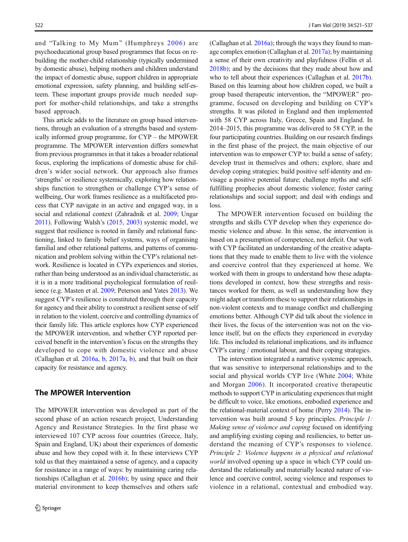and "Talking to My Mum" (Humphreys [2006](#page-15-0)) are psychoeducational group based programmes that focus on rebuilding the mother-child relationship (typically undermined by domestic abuse), helping mothers and children understand the impact of domestic abuse, support children in appropriate emotional expression, safety planning, and building self-esteem. These important groups provide much needed support for mother-child relationships, and take a strengths based approach.

This article adds to the literature on group based interventions, through an evaluation of a strengths based and systemically informed group programme, for CYP – the MPOWER programme. The MPOWER intervention differs somewhat from previous programmes in that it takes a broader relational focus, exploring the implications of domestic abuse for children's wider social network. Our approach also frames 'strengths' or resilience systemically, exploring how relationships function to strengthen or challenge CYP's sense of wellbeing, Our work frames resilience as a multifaceted process that CYP navigate in an active and engaged way, in a social and relational context (Zahradnik et al. [2009](#page-16-0); Ungar [2011](#page-16-0)). Following Walsh's [\(2015,](#page-16-0) [2003](#page-16-0)) systemic model, we suggest that resilience is rooted in family and relational functioning, linked to family belief systems, ways of organising familial and other relational patterns, and patterns of communication and problem solving within the CYP's relational network. Resilience is located in CYPs experiences and stories, rather than being understood as an individual characteristic, as it is in a more traditional psychological formulation of resilience (e.g. Masten et al. [2009](#page-15-0); Peterson and Yates [2013\)](#page-15-0). We suggest CYP's resilience is constituted through their capacity for agency and their ability to construct a resilient sense of self in relation to the violent, coercive and controlling dynamics of their family life. This article explores how CYP experienced the MPOWER intervention, and whether CYP reported perceived benefit in the intervention's focus on the strengths they developed to cope with domestic violence and abuse (Callaghan et al. [2016a](#page-14-0), [b,](#page-14-0) [2017a](#page-14-0), [b\)](#page-15-0), and that built on their capacity for resistance and agency.

# The MPOWER Intervention

The MPOWER intervention was developed as part of the second phase of an action research project, Understanding Agency and Resistance Strategies. In the first phase we interviewed 107 CYP across four countries (Greece, Italy, Spain and England, UK) about their experiences of domestic abuse and how they coped with it. In these interviews CYP told us that they maintained a sense of agency, and a capacity for resistance in a range of ways: by maintaining caring relationships (Callaghan et al. [2016b](#page-14-0)); by using space and their material environment to keep themselves and others safe (Callaghan et al.  $2016a$ ); through the ways they found to manage complex emotion (Callaghan et al. [2017a\)](#page-14-0); by maintaining a sense of their own creativity and playfulness (Fellin et al. [2018b\)](#page-15-0); and by the decisions that they made about how and who to tell about their experiences (Callaghan et al. [2017b\)](#page-15-0). Based on this learning about how children coped, we built a group based therapeutic intervention, the "MPOWER" programme, focused on developing and building on CYP's strengths. It was piloted in England and then implemented with 58 CYP across Italy, Greece, Spain and England. In 2014–2015, this programme was delivered to 58 CYP, in the four participating countries. Building on our research findings in the first phase of the project, the main objective of our intervention was to empower CYP to: build a sense of safety; develop trust in themselves and others; explore, share and develop coping strategies; build positive self-identity and envisage a positive potential future; challenge myths and selffulfilling prophecies about domestic violence; foster caring relationships and social support; and deal with endings and loss.

The MPOWER intervention focused on building the strengths and skills CYP develop when they experience domestic violence and abuse. In this sense, the intervention is based on a presumption of competence, not deficit. Our work with CYP facilitated an understanding of the creative adaptations that they made to enable them to live with the violence and coercive control that they experienced at home. We worked with them in groups to understand how these adaptations developed in context, how these strengths and resistances worked for them, as well as understanding how they might adapt or transform these to support their relationships in non-violent contexts and to manage conflict and challenging emotions better. Although CYP did talk about the violence in their lives, the focus of the intervention was not on the violence itself, but on the effects they experienced in everyday life. This included its relational implications, and its influence CYP's caring / emotional labour, and their coping strategies.

The intervention integrated a narrative systemic approach, that was sensitive to interpersonal relationships and to the social and physical worlds CYP live (White [2004](#page-16-0); White and Morgan [2006](#page-16-0)). It incorporated creative therapeutic methods to support CYP in articulating experiences that might be difficult to voice, like emotions, embodied experience and the relational-material context of home (Perry [2014](#page-15-0)). The intervention was built around 5 key principles. Principle 1: Making sense of violence and coping focused on identifying and amplifying existing coping and resiliencies, to better understand the meaning of CYP's responses to violence. Principle 2: Violence happens in a physical and relational world involved opening up a space in which CYP could understand the relationally and materially located nature of violence and coercive control, seeing violence and responses to violence in a relational, contextual and embodied way.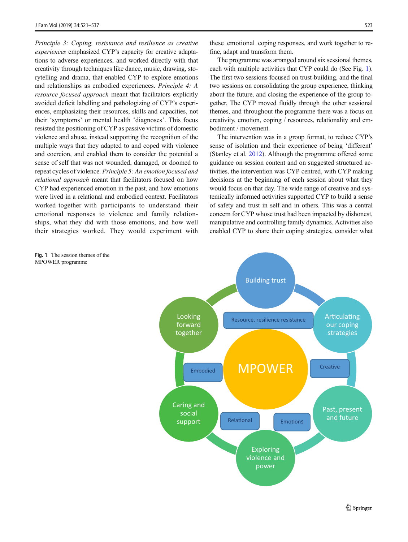Principle 3: Coping, resistance and resilience as creative experiences emphasized CYP's capacity for creative adaptations to adverse experiences, and worked directly with that creativity through techniques like dance, music, drawing, storytelling and drama, that enabled CYP to explore emotions and relationships as embodied experiences. Principle 4: A resource focused approach meant that facilitators explicitly avoided deficit labelling and pathologizing of CYP's experiences, emphasizing their resources, skills and capacities, not their 'symptoms' or mental health 'diagnoses'. This focus resisted the positioning of CYP as passive victims of domestic violence and abuse, instead supporting the recognition of the multiple ways that they adapted to and coped with violence and coercion, and enabled them to consider the potential a sense of self that was not wounded, damaged, or doomed to repeat cycles of violence. Principle 5: An emotion focused and relational approach meant that facilitators focused on how CYP had experienced emotion in the past, and how emotions were lived in a relational and embodied context. Facilitators worked together with participants to understand their emotional responses to violence and family relationships, what they did with those emotions, and how well their strategies worked. They would experiment with these emotional coping responses, and work together to refine, adapt and transform them.

The programme was arranged around six sessional themes, each with multiple activities that CYP could do (See Fig. 1). The first two sessions focused on trust-building, and the final two sessions on consolidating the group experience, thinking about the future, and closing the experience of the group together. The CYP moved fluidly through the other sessional themes, and throughout the programme there was a focus on creativity, emotion, coping / resources, relationality and embodiment / movement.

The intervention was in a group format, to reduce CYP's sense of isolation and their experience of being 'different' (Stanley et al. [2012\)](#page-15-0). Although the programme offered some guidance on session content and on suggested structured activities, the intervention was CYP centred, with CYP making decisions at the beginning of each session about what they would focus on that day. The wide range of creative and systemically informed activities supported CYP to build a sense of safety and trust in self and in others. This was a central concern for CYP whose trust had been impacted by dishonest, manipulative and controlling family dynamics. Activities also enabled CYP to share their coping strategies, consider what



Fig. 1 The session themes of the MPOWER programme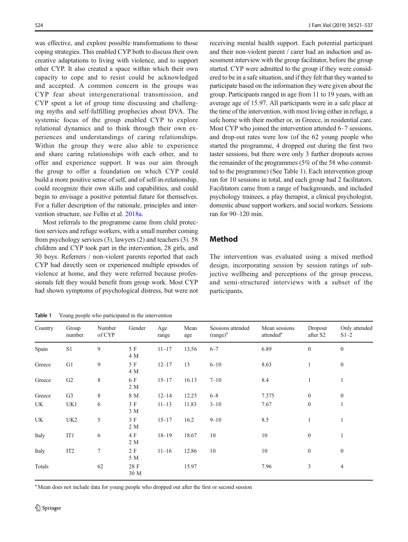was effective, and explore possible transformations to those coping strategies. This enabled CYP both to discuss their own creative adaptations to living with violence, and to support other CYP. It also created a space within which their own capacity to cope and to resist could be acknowledged and accepted. A common concern in the groups was CYP fear about intergenerational transmission, and CYP spent a lot of group time discussing and challenging myths and self-fulfilling prophecies about DVA. The systemic focus of the group enabled CYP to explore relational dynamics and to think through their own experiences and understandings of caring relationships. Within the group they were also able to experience and share caring relationships with each other, and to offer and experience support. It was our aim through the group to offer a foundation on which CYP could build a more positive sense of self, and of self-in-relationship, could recognize their own skills and capabilities, and could begin to envisage a positive potential future for themselves. For a fuller description of the rationale, principles and intervention structure, see Fellin et al. [2018a.](#page-15-0)

Most referrals to the programme came from child protection services and refuge workers, with a small number coming from psychology services (3), lawyers (2) and teachers (3). 58 children and CYP took part in the intervention, 28 girls, and 30 boys. Referrers / non-violent parents reported that each CYP had directly seen or experienced multiple episodes of violence at home, and they were referred because professionals felt they would benefit from group work. Most CYP had shown symptoms of psychological distress, but were not

Table 1 Young people who participated in the intervention Number

of CYP

receiving mental health support. Each potential participant and their non-violent parent / carer had an induction and assessment interview with the group facilitator, before the group started. CYP were admitted to the group if they were considered to be in a safe situation, and if they felt that they wanted to participate based on the information they were given about the group. Participants ranged in age from 11 to 19 years, with an average age of 15.97. All participants were in a safe place at the time of the intervention, with most living either in refuge, a safe home with their mother or, in Greece, in residential care. Most CYP who joined the intervention attended 6–7 sessions, and drop-out rates were low (of the 62 young people who started the programme, 4 dropped out during the first two taster sessions, but there were only 3 further dropouts across the remainder of the programmes (5% of the 58 who committed to the programme) (See Table 1). Each intervention group ran for 10 sessions in total, and each group had 2 facilitators. Facilitators came from a range of backgrounds, and included psychology trainees, a play therapist, a clinical psychologist, domestic abuse support workers, and social workers. Sessions ran for 90–120 min.

# Method

Sessions attended  $(range)^a$ 

The intervention was evaluated using a mixed method design, incorporating session by session ratings of subjective wellbeing and perceptions of the group process, and semi-structured interviews with a subset of the participants.

> Dropout after S2

Only attended  $S1-2$ 

Mean sessions attended<sup>a</sup>

| Spain  | S <sub>1</sub>  | 9      | 5 F<br>4 M   | $11 - 17$ | 13.56 | $6 - 7$  | 6.89  | $\boldsymbol{0}$ | $\boldsymbol{0}$ |  |
|--------|-----------------|--------|--------------|-----------|-------|----------|-------|------------------|------------------|--|
| Greece | G1              | 9      | 5 F<br>4 M   | $12 - 17$ | 13    | $6 - 10$ | 8.63  | $\mathbf{1}$     | $\boldsymbol{0}$ |  |
| Greece | G2              | 8      | 6 F<br>2 M   | $15 - 17$ | 16.13 | $7 - 10$ | 8.4   | $\mathbf{1}$     | $\mathbf{1}$     |  |
| Greece | G <sub>3</sub>  | 8      | 8 M          | $12 - 14$ | 12.25 | $6 - 8$  | 7.375 | $\boldsymbol{0}$ | $\mathbf{0}$     |  |
| UK     | UK1             | 6      | 3 F<br>3 M   | $11 - 13$ | 11.83 | $3 - 10$ | 7.67  | $\mathbf{0}$     | $\mathbf{1}$     |  |
| UK     | UK2             | 5      | 3 F<br>2 M   | $15 - 17$ | 16.2  | $9 - 10$ | 8.5   |                  | $\mathbf{1}$     |  |
| Italy  | IT <sub>1</sub> | 6      | 4 F<br>2 M   | $18 - 19$ | 18.67 | 10       | 10    | $\boldsymbol{0}$ | $\mathbf{1}$     |  |
| Italy  | IT <sub>2</sub> | $\tau$ | 2 F<br>5 M   | $11 - 16$ | 12.86 | 10       | 10    | $\boldsymbol{0}$ | $\mathbf{0}$     |  |
| Totals |                 | 62     | 28 F<br>30 M |           | 15.97 |          | 7.96  | 3                | $\overline{4}$   |  |
|        |                 |        |              |           |       |          |       |                  |                  |  |

<sup>a</sup> Mean does not include data for young people who dropped out after the first or second session

Gender Age

range

Mean age

Country Group

number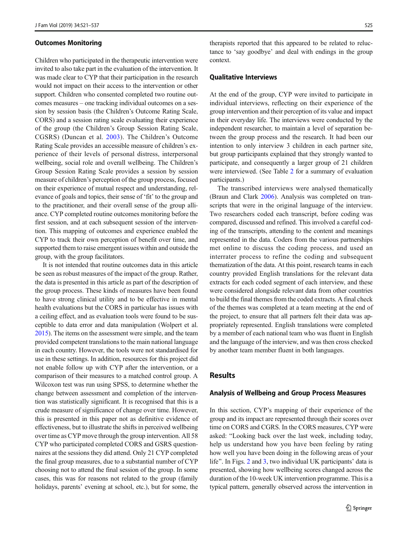#### Outcomes Monitoring

Children who participated in the therapeutic intervention were invited to also take part in the evaluation of the intervention. It was made clear to CYP that their participation in the research would not impact on their access to the intervention or other support. Children who consented completed two routine outcomes measures – one tracking individual outcomes on a session by session basis (the Children's Outcome Rating Scale, CORS) and a session rating scale evaluating their experience of the group (the Children's Group Session Rating Scale, CGSRS) (Duncan et al. [2003\)](#page-15-0). The Children's Outcome Rating Scale provides an accessible measure of children's experience of their levels of personal distress, interpersonal wellbeing, social role and overall wellbeing. The Children's Group Session Rating Scale provides a session by session measure of children's perception of the group process, focused on their experience of mutual respect and understanding, relevance of goals and topics, their sense of 'fit' to the group and to the practitioner, and their overall sense of the group alliance. CYP completed routine outcomes monitoring before the first session, and at each subsequent session of the intervention. This mapping of outcomes and experience enabled the CYP to track their own perception of benefit over time, and supported them to raise emergent issues within and outside the group, with the group facilitators.

It is not intended that routine outcomes data in this article be seen as robust measures of the impact of the group. Rather, the data is presented in this article as part of the description of the group process. These kinds of measures have been found to have strong clinical utility and to be effective in mental health evaluations but the CORS in particular has issues with a ceiling effect, and as evaluation tools were found to be susceptible to data error and data manipulation (Wolpert et al. [2015\)](#page-16-0). The items on the assessment were simple, and the team provided competent translations to the main national language in each country. However, the tools were not standardised for use in these settings. In addition, resources for this project did not enable follow up with CYP after the intervention, or a comparison of their measures to a matched control group. A Wilcoxon test was run using SPSS, to determine whether the change between assessment and completion of the intervention was statistically significant. It is recognised that this is a crude measure of significance of change over time. However, this is presented in this paper not as definitive evidence of effectiveness, but to illustrate the shifts in perceived wellbeing over time as CYP move through the group intervention. All 58 CYP who participated completed CORS and GSRS questionnaires at the sessions they did attend. Only 21 CYP completed the final group measures, due to a substantial number of CYP choosing not to attend the final session of the group. In some cases, this was for reasons not related to the group (family holidays, parents' evening at school, etc.), but for some, the

therapists reported that this appeared to be related to reluctance to 'say goodbye' and deal with endings in the group context.

#### Qualitative Interviews

At the end of the group, CYP were invited to participate in individual interviews, reflecting on their experience of the group intervention and their perception of its value and impact in their everyday life. The interviews were conducted by the independent researcher, to maintain a level of separation between the group process and the research. It had been our intention to only interview 3 children in each partner site, but group participants explained that they strongly wanted to participate, and consequently a larger group of 21 children were interviewed. (See Table [2](#page-5-0) for a summary of evaluation participants.)

The transcribed interviews were analysed thematically (Braun and Clark [2006\)](#page-14-0). Analysis was completed on transcripts that were in the original language of the interview. Two researchers coded each transcript, before coding was compared, discussed and refined. This involved a careful coding of the transcripts, attending to the content and meanings represented in the data. Coders from the various partnerships met online to discuss the coding process, and used an interrater process to refine the coding and subsequent thematization of the data. At this point, research teams in each country provided English translations for the relevant data extracts for each coded segment of each interview, and these were considered alongside relevant data from other countries to build the final themes from the coded extracts. A final check of the themes was completed at a team meeting at the end of the project, to ensure that all partners felt their data was appropriately represented. English translations were completed by a member of each national team who was fluent in English and the language of the interview, and was then cross checked by another team member fluent in both languages.

## Results

## Analysis of Wellbeing and Group Process Measures

In this section, CYP's mapping of their experience of the group and its impact are represented through their scores over time on CORS and CGRS. In the CORS measures, CYP were asked: "Looking back over the last week, including today, help us understand how you have been feeling by rating how well you have been doing in the following areas of your life". In Figs. [2](#page-5-0) and [3](#page-6-0), two individual UK participants' data is presented, showing how wellbeing scores changed across the duration of the 10-week UK intervention programme. This is a typical pattern, generally observed across the intervention in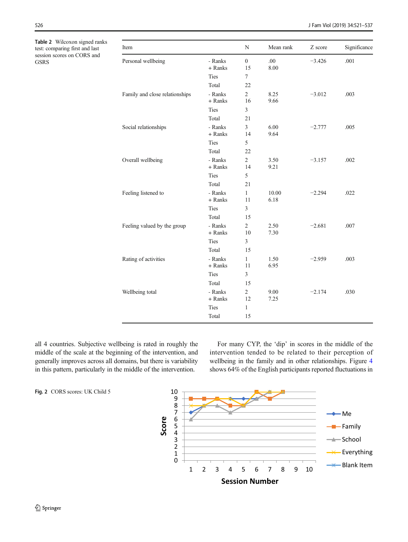<span id="page-5-0"></span>Table 2 Wilcoxon signed ranks test: comparing first and last session scores on CORS and **GSRS** 

| Item                           |                      | N                      | Mean rank       | Z score  | Significance |
|--------------------------------|----------------------|------------------------|-----------------|----------|--------------|
| Personal wellbeing             | - Ranks<br>+ Ranks   | $\boldsymbol{0}$<br>15 | $.00\,$<br>8.00 | $-3.426$ | .001         |
|                                | Ties                 | 7                      |                 |          |              |
|                                | Total                | 22                     |                 |          |              |
| Family and close relationships | - Ranks<br>+ Ranks   | $\overline{c}$<br>16   | 8.25<br>9.66    | $-3.012$ | .003         |
|                                | Ties                 | 3                      |                 |          |              |
|                                | Total                | 21                     |                 |          |              |
| Social relationships           | - Ranks<br>+ Ranks   | 3<br>14                | 6.00<br>9.64    | $-2.777$ | .005         |
|                                | Ties                 | 5                      |                 |          |              |
|                                | Total                | 22                     |                 |          |              |
| Overall wellbeing              | - Ranks<br>+ Ranks   | $\sqrt{2}$<br>14       | 3.50<br>9.21    | $-3.157$ | .002         |
|                                | Ties                 | $\mathfrak s$          |                 |          |              |
|                                | Total                | 21                     |                 |          |              |
| Feeling listened to            | - Ranks<br>$+$ Ranks | $\mathbf{1}$<br>11     | 10.00<br>6.18   | $-2.294$ | .022         |
|                                | Ties                 | $\mathfrak{Z}$         |                 |          |              |
|                                | Total                | 15                     |                 |          |              |
| Feeling valued by the group    | - Ranks<br>+ Ranks   | $\sqrt{2}$<br>$10\,$   | 2.50<br>7.30    | $-2.681$ | .007         |
|                                | Ties                 | 3                      |                 |          |              |
|                                | Total                | 15                     |                 |          |              |
| Rating of activities           | - Ranks<br>+ Ranks   | $\mathbf{1}$<br>11     | 1.50<br>6.95    | $-2.959$ | .003         |
|                                | Ties                 | 3                      |                 |          |              |
|                                | Total                | 15                     |                 |          |              |
| Wellbeing total                | - Ranks<br>+ Ranks   | $\overline{2}$<br>12   | 9.00<br>7.25    | $-2.174$ | .030         |
|                                | Ties                 | $\mathbf{1}$           |                 |          |              |
|                                | Total                | 15                     |                 |          |              |

all 4 countries. Subjective wellbeing is rated in roughly the middle of the scale at the beginning of the intervention, and generally improves across all domains, but there is variability in this pattern, particularly in the middle of the intervention.

For many CYP, the 'dip' in scores in the middle of the intervention tended to be related to their perception of wellbeing in the family and in other relationships. Figure [4](#page-6-0) shows 64% of the English participants reported fluctuations in



Fig. 2 CORS scores: UK Child 5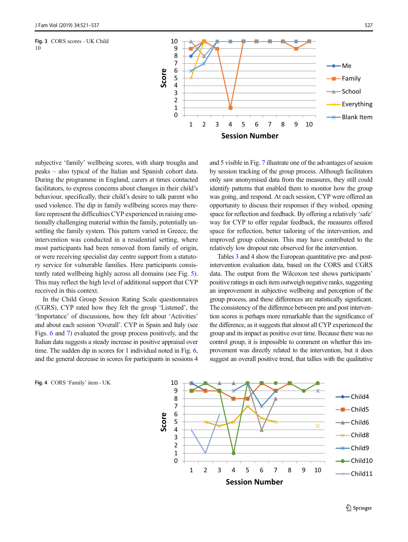<span id="page-6-0"></span>Fig. 3 CORS scores - UK Child 10





subjective 'family' wellbeing scores, with sharp troughs and peaks – also typical of the Italian and Spanish cohort data. During the programme in England, carers at times contacted facilitators, to express concerns about changes in their child's behaviour, specifically, their child's desire to talk parent who used violence. The dip in family wellbeing scores may therefore represent the difficulties CYP experienced in raising emotionally challenging material within the family, potentially unsettling the family system. This pattern varied in Greece, the intervention was conducted in a residential setting, where most participants had been removed from family of origin, or were receiving specialist day centre support from a statutory service for vulnerable families. Here participants consistently rated wellbeing highly across all domains (see Fig. [5\)](#page-7-0). This may reflect the high level of additional support that CYP received in this context.

In the Child Group Session Rating Scale questionnaires (CGRS), CYP rated how they felt the group 'Listened', the 'Importance' of discussions, how they felt about 'Activities' and about each session 'Overall'. CYP in Spain and Italy (see Figs. [6](#page-7-0) and [7](#page-8-0)) evaluated the group process positively, and the Italian data suggests a steady increase in positive appraisal over time. The sudden dip in scores for 1 individual noted in Fig. [6,](#page-7-0) and the general decrease in scores for participants in sessions 4

and 5 visible in Fig. [7](#page-8-0) illustrate one of the advantages of session by session tracking of the group process. Although facilitators only saw anonymised data from the measures, they still could identify patterns that enabled them to monitor how the group was going, and respond. At each session, CYP were offered an opportunity to discuss their responses if they wished, opening space for reflection and feedback. By offering a relatively 'safe' way for CYP to offer regular feedback, the measures offered space for reflection, better tailoring of the intervention, and improved group cohesion. This may have contributed to the relatively low dropout rate observed for the intervention.

Tables [3](#page-8-0) and [4](#page-9-0) show the European quantitative pre- and postintervention evaluation data, based on the CORS and CGRS data. The output from the Wilcoxon test shows participants' positive ratings in each item outweigh negative ranks, suggesting an improvement in subjective wellbeing and perception of the group process, and these differences are statistically significant. The consistency of the difference between pre and post intervention scores is perhaps more remarkable than the significance of the difference, as it suggests that almost all CYP experienced the group and its impact as positive over time. Because there was no control group, it is impossible to comment on whether this improvement was directly related to the intervention, but it does suggest an overall positive trend, that tallies with the qualitative



Fig. 4 CORS 'Family' item - UK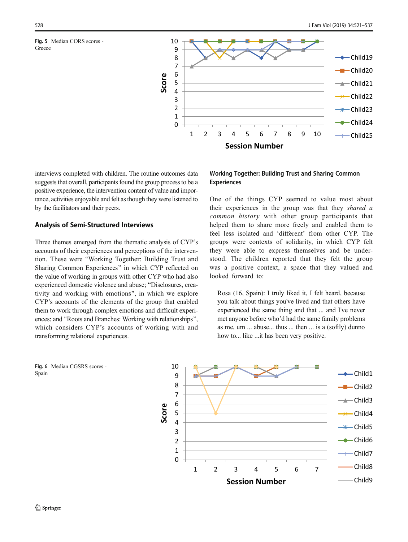<span id="page-7-0"></span>



interviews completed with children. The routine outcomes data suggests that overall, participants found the group process to be a positive experience, the intervention content of value and importance, activities enjoyable and felt as though they were listened to by the facilitators and their peers.

## Analysis of Semi-Structured Interviews

Three themes emerged from the thematic analysis of CYP's accounts of their experiences and perceptions of the intervention. These were "Working Together: Building Trust and Sharing Common Experiences" in which CYP reflected on the value of working in groups with other CYP who had also experienced domestic violence and abuse; "Disclosures, creativity and working with emotions", in which we explore CYP's accounts of the elements of the group that enabled them to work through complex emotions and difficult experiences; and "Roots and Branches: Working with relationships", which considers CYP's accounts of working with and transforming relational experiences.

## Working Together: Building Trust and Sharing Common Experiences

One of the things CYP seemed to value most about their experiences in the group was that they shared a common history with other group participants that helped them to share more freely and enabled them to feel less isolated and 'different' from other CYP. The groups were contexts of solidarity, in which CYP felt they were able to express themselves and be understood. The children reported that they felt the group was a positive context, a space that they valued and looked forward to:

Rosa (16, Spain): I truly liked it, I felt heard, because you talk about things you've lived and that others have experienced the same thing and that ... and I've never met anyone before who'd had the same family problems as me, um ... abuse... thus ... then ... is a (softly) dunno how to... like ...it has been very positive.



Fig. 6 Median CGSRS scores - Spain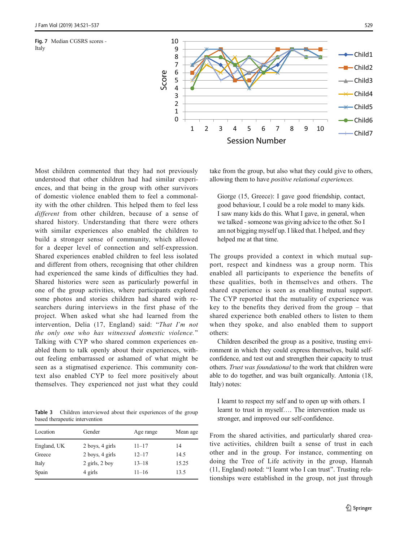<span id="page-8-0"></span>Fig. 7 Median CGSRS scores - Italy



Most children commented that they had not previously understood that other children had had similar experiences, and that being in the group with other survivors of domestic violence enabled them to feel a commonality with the other children. This helped them to feel less different from other children, because of a sense of shared history. Understanding that there were others with similar experiences also enabled the children to build a stronger sense of community, which allowed for a deeper level of connection and self-expression. Shared experiences enabled children to feel less isolated and different from others, recognising that other children had experienced the same kinds of difficulties they had. Shared histories were seen as particularly powerful in one of the group activities, where participants explored some photos and stories children had shared with researchers during interviews in the first phase of the project. When asked what she had learned from the intervention, Delia (17, England) said: "That I'm not the only one who has witnessed domestic violence." Talking with CYP who shared common experiences enabled them to talk openly about their experiences, without feeling embarrassed or ashamed of what might be seen as a stigmatised experience. This community context also enabled CYP to feel more positively about themselves. They experienced not just what they could

Table 3 Children interviewed about their experiences of the group based therapeutic intervention

| Location    | Gender             | Age range | Mean age |
|-------------|--------------------|-----------|----------|
| England, UK | 2 boys, 4 girls    | $11 - 17$ | 14       |
| Greece      | 2 boys, 4 girls    | $12 - 17$ | 14.5     |
| Italy       | $2$ girls, $2$ boy | $13 - 18$ | 15.25    |
| Spain       | 4 girls            | $11 - 16$ | 13.5     |

take from the group, but also what they could give to others, allowing them to have positive relational experiences.

Giorge (15, Greece): I gave good friendship, contact, good behaviour, I could be a role model to many kids. I saw many kids do this. What I gave, in general, when we talked - someone was giving advice to the other. So I am not bigging myself up. I liked that. I helped, and they helped me at that time.

The groups provided a context in which mutual support, respect and kindness was a group norm. This enabled all participants to experience the benefits of these qualities, both in themselves and others. The shared experience is seen as enabling mutual support. The CYP reported that the mutuality of experience was key to the benefits they derived from the group – that shared experience both enabled others to listen to them when they spoke, and also enabled them to support others:

Children described the group as a positive, trusting environment in which they could express themselves, build selfconfidence, and test out and strengthen their capacity to trust others. Trust was foundational to the work that children were able to do together, and was built organically. Antonia (18, Italy) notes:

I learnt to respect my self and to open up with others. I learnt to trust in myself…. The intervention made us stronger, and improved our self-confidence.

From the shared activities, and particularly shared creative activities, children built a sense of trust in each other and in the group. For instance, commenting on doing the Tree of Life activity in the group, Hannah  $(11,$  England) noted: "I learnt who I can trust". Trusting relationships were established in the group, not just through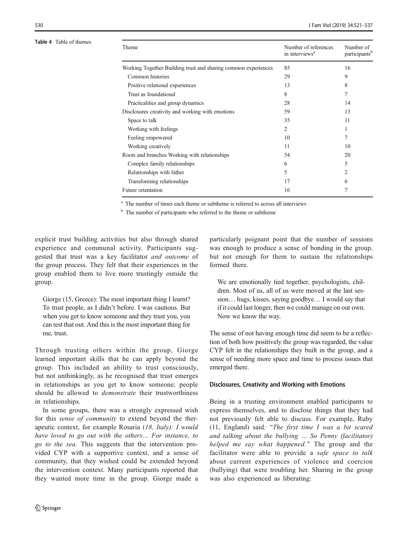#### <span id="page-9-0"></span>Table 4 Table of themes

| Theme                                                          | Number of references<br>in interviews <sup>a</sup> | Number of<br>participants <sup>b</sup> |  |
|----------------------------------------------------------------|----------------------------------------------------|----------------------------------------|--|
| Working Together Building trust and sharing common experiences | 85                                                 | 16                                     |  |
| Common histories                                               | 29                                                 | 9                                      |  |
| Positive relational experiences                                | 13                                                 | 8                                      |  |
| Trust as foundational                                          | 8                                                  | 7                                      |  |
| Practicalities and group dynamics                              | 28                                                 | 14                                     |  |
| Disclosures creativity and working with emotions               | 59                                                 | 13                                     |  |
| Space to talk                                                  | 35                                                 | 11                                     |  |
| Working with feelings                                          | $\overline{2}$                                     | 1                                      |  |
| Feeling empowered                                              | 10                                                 | 7                                      |  |
| Working creatively                                             | 11                                                 | 10                                     |  |
| Roots and branches Working with relationships                  | 54                                                 | 20                                     |  |
| Complex family relationships                                   | 6                                                  | 5                                      |  |
| Relationships with father                                      | 5                                                  | 2                                      |  |
| Transforming relationships                                     | 17                                                 | 6                                      |  |
| Future orientation                                             | 16                                                 | 7                                      |  |

<sup>a</sup> The number of times each theme or subtheme is referred to across all interviews

<sup>b</sup> The number of participants who referred to the theme or subtheme

explicit trust building activities but also through shared experience and communal activity. Participants suggested that trust was a key facilitator and outcome of the group process. They felt that their experiences in the group enabled them to live more trustingly outside the group.

Giorge (15, Greece): The most important thing I learnt? To trust people, as I didn't before. I was cautious. But when you get to know someone and they trust you, you can test that out. And this is the most important thing for me, trust.

Through trusting others within the group, Giorge learned important skills that he can apply beyond the group. This included an ability to trust consciously, but not unthinkingly, as he recognised that trust emerges in relationships as you get to know someone; people should be allowed to demonstrate their trustworthiness in relationships.

In some groups, there was a strongly expressed wish for this sense of community to extend beyond the therapeutic context, for example Rosaria (18, Italy): I would have loved to go out with the others… For instance, to go to the sea. This suggests that the intervention provided CYP with a supportive context, and a sense of community, that they wished could be extended beyond the intervention context. Many participants reported that they wanted more time in the group. Giorge made a

particularly poignant point that the number of sessions was enough to produce a sense of bonding in the group, but not enough for them to sustain the relationships formed there.

We are emotionally tied together, psychologists, children. Most of us, all of us were moved at the last session… hugs, kisses, saying goodbye… I would say that if it could last longer, then we could manage on our own. Now we know the way.

The sense of not having enough time did seem to be a reflection of both how positively the group was regarded, the value CYP felt in the relationships they built in the group, and a sense of needing more space and time to process issues that emerged there.

#### Disclosures, Creativity and Working with Emotions

Being in a trusting environment enabled participants to express themselves, and to disclose things that they had not previously felt able to discuss. For example, Ruby (11, England) said: "The first time I was a bit scared and talking about the bullying … So Penny (facilitator) helped me say what happened." The group and the facilitator were able to provide a safe space to talk about current experiences of violence and coercion (bullying) that were troubling her. Sharing in the group was also experienced as liberating: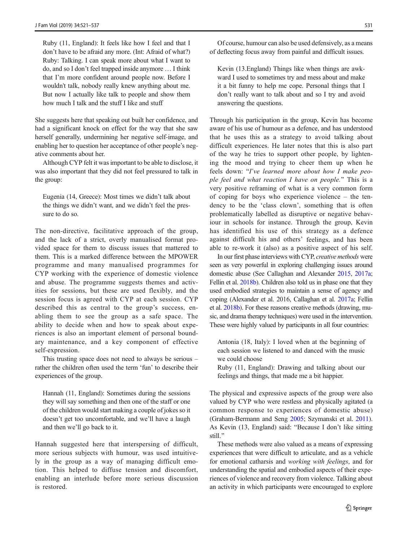Ruby (11, England): It feels like how I feel and that I don't have to be afraid any more. (Int: Afraid of what?) Ruby: Talking. I can speak more about what I want to do, and so I don't feel trapped inside anymore … I think that I'm more confident around people now. Before I wouldn't talk, nobody really knew anything about me. But now I actually like talk to people and show them how much I talk and the stuff I like and stuff

She suggests here that speaking out built her confidence, and had a significant knock on effect for the way that she saw herself generally, undermining her negative self-image, and enabling her to question her acceptance of other people's negative comments about her.

Although CYP felt it was important to be able to disclose, it was also important that they did not feel pressured to talk in the group:

Eugenia (14, Greece): Most times we didn't talk about the things we didn't want, and we didn't feel the pressure to do so.

The non-directive, facilitative approach of the group, and the lack of a strict, overly manualised format provided space for them to discuss issues that mattered to them. This is a marked difference between the MPOWER programme and many manualised programmes for CYP working with the experience of domestic violence and abuse. The programme suggests themes and activities for sessions, but these are used flexibly, and the session focus is agreed with CYP at each session. CYP described this as central to the group's success, enabling them to see the group as a safe space. The ability to decide when and how to speak about experiences is also an important element of personal boundary maintenance, and a key component of effective self-expression.

This trusting space does not need to always be serious – rather the children often used the term 'fun' to describe their experiences of the group.

Hannah (11, England): Sometimes during the sessions they will say something and then one of the staff or one of the children would start making a couple of jokes so it doesn't get too uncomfortable, and we'll have a laugh and then we'll go back to it.

Hannah suggested here that interspersing of difficult, more serious subjects with humour, was used intuitively in the group as a way of managing difficult emotion. This helped to diffuse tension and discomfort, enabling an interlude before more serious discussion is restored.

Of course, humour can also be used defensively, as a means of deflecting focus away from painful and difficult issues.

Kevin (13.England) Things like when things are awkward I used to sometimes try and mess about and make it a bit funny to help me cope. Personal things that I don't really want to talk about and so I try and avoid answering the questions.

Through his participation in the group, Kevin has become aware of his use of humour as a defence, and has understood that he uses this as a strategy to avoid talking about difficult experiences. He later notes that this is also part of the way he tries to support other people, by lightening the mood and trying to cheer them up when he feels down: "I've learned more about how I make people feel and what reaction  $I$  have on people." This is a very positive reframing of what is a very common form of coping for boys who experience violence – the tendency to be the 'class clown', something that is often problematically labelled as disruptive or negative behaviour in schools for instance. Through the group, Kevin has identified his use of this strategy as a defence against difficult his and others' feelings, and has been able to re-work it (also) as a positive aspect of his self.

In our first phase interviews with CYP, creative methods were seen as very powerful in exploring challenging issues around domestic abuse (See Callaghan and Alexander [2015](#page-14-0), [2017a;](#page-14-0) Fellin et al. [2018b](#page-15-0)). Children also told us in phase one that they used embodied strategies to maintain a sense of agency and coping (Alexander et al. 2016, Callaghan et al. [2017a](#page-14-0); Fellin et al. [2018b](#page-15-0)). For these reasons creative methods (drawing, music, and drama therapy techniques) were used in the intervention. These were highly valued by participants in all four countries:

Antonia (18, Italy): I loved when at the beginning of each session we listened to and danced with the music we could choose

Ruby (11, England): Drawing and talking about our feelings and things, that made me a bit happier.

The physical and expressive aspects of the group were also valued by CYP who were restless and physically agitated (a common response to experiences of domestic abuse) (Graham-Bermann and Seng [2005](#page-15-0); Szymanski et al. [2011\)](#page-15-0). As Kevin (13, England) said: "Because I don't like sitting still."

These methods were also valued as a means of expressing experiences that were difficult to articulate, and as a vehicle for emotional catharsis and working with feelings, and for understanding the spatial and embodied aspects of their experiences of violence and recovery from violence. Talking about an activity in which participants were encouraged to explore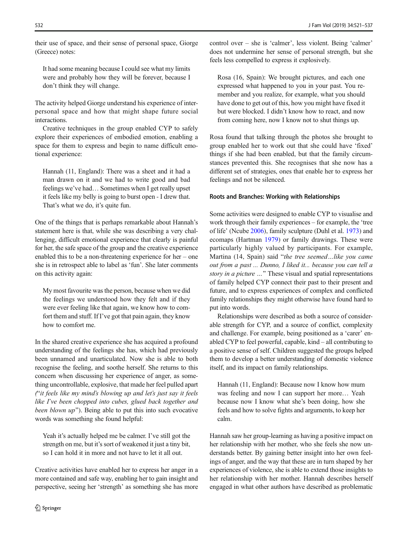their use of space, and their sense of personal space, Giorge (Greece) notes:

It had some meaning because I could see what my limits were and probably how they will be forever, because I don't think they will change.

The activity helped Giorge understand his experience of interpersonal space and how that might shape future social interactions.

Creative techniques in the group enabled CYP to safely explore their experiences of embodied emotion, enabling a space for them to express and begin to name difficult emotional experience:

Hannah (11, England): There was a sheet and it had a man drawn on it and we had to write good and bad feelings we've had… Sometimes when I get really upset it feels like my belly is going to burst open - I drew that. That's what we do, it's quite fun.

One of the things that is perhaps remarkable about Hannah's statement here is that, while she was describing a very challenging, difficult emotional experience that clearly is painful for her, the safe space of the group and the creative experience enabled this to be a non-threatening experience for her – one she is in retrospect able to label as 'fun'. She later comments on this activity again:

My most favourite was the person, because when we did the feelings we understood how they felt and if they were ever feeling like that again, we know how to comfort them and stuff. If I've got that pain again, they know how to comfort me.

In the shared creative experience she has acquired a profound understanding of the feelings she has, which had previously been unnamed and unarticulated. Now she is able to both recognise the feeling, and soothe herself. She returns to this concern when discussing her experience of anger, as something uncontrollable, explosive, that made her feel pulled apart ("it feels like my mind's blowing up and let's just say it feels like I've been chopped into cubes, glued back together and been blown up"). Being able to put this into such evocative words was something she found helpful:

Yeah it's actually helped me be calmer. I've still got the strength on me, but it's sort of weakened it just a tiny bit, so I can hold it in more and not have to let it all out.

Creative activities have enabled her to express her anger in a more contained and safe way, enabling her to gain insight and perspective, seeing her 'strength' as something she has more control over – she is 'calmer', less violent. Being 'calmer' does not undermine her sense of personal strength, but she feels less compelled to express it explosively.

Rosa (16, Spain): We brought pictures, and each one expressed what happened to you in your past. You remember and you realize, for example, what you should have done to get out of this, how you might have fixed it but were blocked. I didn't know how to react, and now from coming here, now I know not to shut things up.

Rosa found that talking through the photos she brought to group enabled her to work out that she could have 'fixed' things if she had been enabled, but that the family circumstances prevented this. She recognises that she now has a different set of strategies, ones that enable her to express her feelings and not be silenced.

# Roots and Branches: Working with Relationships

Some activities were designed to enable CYP to visualise and work through their family experiences – for example, the 'tree of life' (Ncube [2006](#page-15-0)), family sculpture (Duhl et al. [1973\)](#page-15-0) and ecomaps (Hartman [1979](#page-15-0)) or family drawings. These were particularly highly valued by participants. For example, Martina (14, Spain) said "the tree seemed...like you came out from a past ... Dunno, I liked it... because you can tell a story in a picture ..." These visual and spatial representations of family helped CYP connect their past to their present and future, and to express experiences of complex and conflicted family relationships they might otherwise have found hard to put into words.

Relationships were described as both a source of considerable strength for CYP, and a source of conflict, complexity and challenge. For example, being positioned as a 'carer' enabled CYP to feel powerful, capable, kind – all contributing to a positive sense of self. Children suggested the groups helped them to develop a better understanding of domestic violence itself, and its impact on family relationships.

Hannah (11, England): Because now I know how mum was feeling and now I can support her more… Yeah because now I know what she's been doing, how she feels and how to solve fights and arguments, to keep her calm.

Hannah saw her group-learning as having a positive impact on her relationship with her mother, who she feels she now understands better. By gaining better insight into her own feelings of anger, and the way that these are in turn shaped by her experiences of violence, she is able to extend those insights to her relationship with her mother. Hannah describes herself engaged in what other authors have described as problematic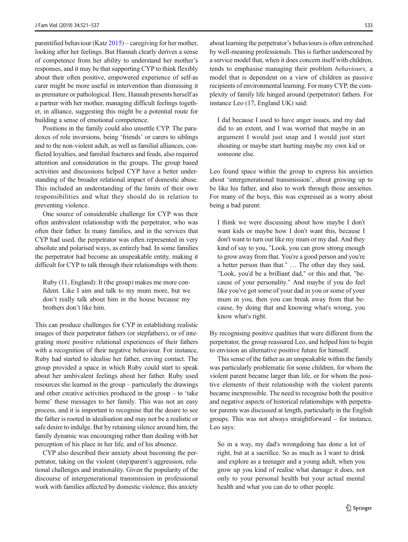parentified behaviour (Katz  $2015$ ) – caregiving for her mother, looking after her feelings. But Hannah clearly derives a sense of competence from her ability to understand her mother's responses, and it may be that supporting CYP to think flexibly about their often positive, empowered experience of self-as carer might be more useful in intervention than dismissing it as premature or pathological. Here, Hannah presents herself as a partner with her mother, managing difficult feelings together, in alliance, suggesting this might be a potential route for building a sense of emotional competence.

Positions in the family could also unsettle CYP. The paradoxes of role inversions, being 'friends' or carers to siblings and to the non-violent adult, as well as familial alliances, conflicted loyalties, and familial fractures and feuds, also required attention and consideration in the groups. The group based activities and discussions helped CYP have a better understanding of the broader relational impact of domestic abuse. This included an understanding of the limits of their own responsibilities and what they should do in relation to preventing violence.

One source of considerable challenge for CYP was their often ambivalent relationship with the perpetrator, who was often their father. In many families, and in the services that CYP had used, the perpetrator was often represented in very absolute and polarised ways, as entirely bad. In some families the perpetrator had become an unspeakable entity, making it difficult for CYP to talk through their relationships with them:

Ruby (11, England): It (the group) makes me more confident. Like I aim and talk to my mum more, but we don't really talk about him in the house because my brothers don't like him.

This can produce challenges for CYP in establishing realistic images of their perpetrator fathers (or stepfathers), or of integrating more positive relational experiences of their fathers with a recognition of their negative behaviour. For instance, Ruby had started to idealise her father, craving contact. The group provided a space in which Ruby could start to speak about her ambivalent feelings about her father. Ruby used resources she learned in the group – particularly the drawings and other creative activities produced in the group  $-$  to 'take home' these messages to her family. This was not an easy process, and it is important to recognise that the desire to see the father is rooted in idealisation and may not be a realistic or safe desire to indulge. But by retaining silence around him, the family dynamic was encouraging rather than dealing with her perception of his place in her life, and of his absence.

CYP also described their anxiety about becoming the perpetrator, taking on the violent (step)parent's aggression, relational challenges and irrationality. Given the popularity of the discourse of intergenerational transmission in professional work with families affected by domestic violence, this anxiety about learning the perpetrator's behaviours is often entrenched by well-meaning professionals. This is further underscored by a service model that, when it does concern itself with children, tends to emphasise managing their problem behaviours, a model that is dependent on a view of children as passive recipients of environmental learning. For many CYP, the complexity of family life hinged around (perpetrator) fathers. For instance Leo (17, England UK) said:

I did because I used to have anger issues, and my dad did to an extent, and I was worried that maybe in an argument I would just snap and I would just start shouting or maybe start hurting maybe my own kid or someone else.

Leo found space within the group to express his anxieties about 'intergenerational transmission', about growing up to be like his father, and also to work through those anxieties. For many of the boys, this was expressed as a worry about being a bad parent:

I think we were discussing about how maybe I don't want kids or maybe how I don't want this, because I don't want to turn out like my mum or my dad. And they kind of say to you, "Look, you can grow strong enough to grow away from that. You're a good person and you're a better person than that." … The other day they said, "Look, you'd be a brilliant dad," or this and that, "because of your personality." And maybe if you do feel like you've got some of your dad in you or some of your mum in you, then you can break away from that because, by doing that and knowing what's wrong, you know what's right.

By recognising positive qualities that were different from the perpetrator, the group reassured Leo, and helped him to begin to envision an alternative positive future for himself.

This sense of the father as an unspeakable within the family was particularly problematic for some children, for whom the violent parent became larger than life, or for whom the positive elements of their relationship with the violent parents became inexpressible. The need to recognise both the positive and negative aspects of historical relationships with perpetrator parents was discussed at length, particularly in the English groups. This was not always straightforward – for instance, Leo says:

So in a way, my dad's wrongdoing has done a lot of right, but at a sacrifice. So as much as I want to drink and explore as a teenager and a young adult, when you grow up you kind of realise what damage it does, not only to your personal health but your actual mental health and what you can do to other people.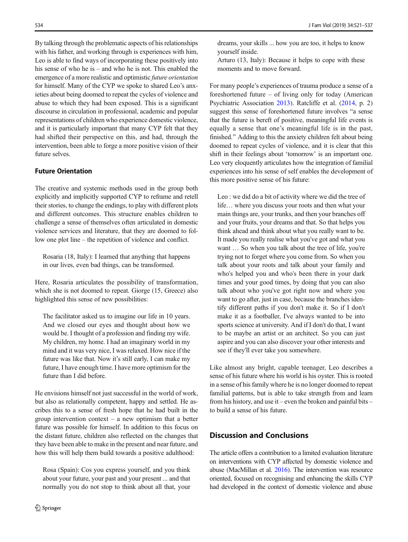By talking through the problematic aspects of his relationships with his father, and working through is experiences with him, Leo is able to find ways of incorporating these positively into his sense of who he is – and who he is not. This enabled the emergence of a more realistic and optimistic future orientation for himself. Many of the CYP we spoke to shared Leo's anxieties about being doomed to repeat the cycles of violence and abuse to which they had been exposed. This is a significant discourse in circulation in professional, academic and popular representations of children who experience domestic violence, and it is particularly important that many CYP felt that they had shifted their perspective on this, and had, through the intervention, been able to forge a more positive vision of their future selves.

# Future Orientation

The creative and systemic methods used in the group both explicitly and implicitly supported CYP to reframe and retell their stories, to change the endings, to play with different plots and different outcomes. This structure enables children to challenge a sense of themselves often articulated in domestic violence services and literature, that they are doomed to follow one plot line – the repetition of violence and conflict.

Rosaria (18, Italy): I learned that anything that happens in our lives, even bad things, can be transformed.

Here, Rosaria articulates the possibility of transformation, which she is not doomed to repeat. Giorge (15, Greece) also highlighted this sense of new possibilities:

The facilitator asked us to imagine our life in 10 years. And we closed our eyes and thought about how we would be. I thought of a profession and finding my wife. My children, my home. I had an imaginary world in my mind and it was very nice, I was relaxed. How nice if the future was like that. Now it's still early, I can make my future, I have enough time. I have more optimism for the future than I did before.

He envisions himself not just successful in the world of work, but also as relationally competent, happy and settled. He ascribes this to a sense of fresh hope that he had built in the group intervention context – a new optimism that a better future was possible for himself. In addition to this focus on the distant future, children also reflected on the changes that they have been able to make in the present and near future, and how this will help them build towards a positive adulthood:

Rosa (Spain): Cos you express yourself, and you think about your future, your past and your present ... and that normally you do not stop to think about all that, your dreams, your skills ... how you are too, it helps to know yourself inside.

Arturo (13, Italy): Because it helps to cope with these moments and to move forward.

For many people's experiences of trauma produce a sense of a foreshortened future – of living only for today (American Psychiatric Association [2013\)](#page-14-0). Ratcliffe et al. ([2014,](#page-15-0) p. 2) suggest this sense of foreshortened future involves "a sense that the future is bereft of positive, meaningful life events is equally a sense that one's meaningful life is in the past, finished." Adding to this the anxiety children felt about being doomed to repeat cycles of violence, and it is clear that this shift in their feelings about 'tomorrow' is an important one. Leo very eloquently articulates how the integration of familial experiences into his sense of self enables the development of this more positive sense of his future:

Leo : we did do a bit of activity where we did the tree of life… where you discuss your roots and then what your main things are, your trunks, and then your branches off and your fruits, your dreams and that. So that helps you think ahead and think about what you really want to be. It made you really realise what you've got and what you want … So when you talk about the tree of life, you're trying not to forget where you come from. So when you talk about your roots and talk about your family and who's helped you and who's been there in your dark times and your good times, by doing that you can also talk about who you've got right now and where you want to go after, just in case, because the branches identify different paths if you don't make it. So if I don't make it as a footballer, I've always wanted to be into sports science at university. And if I don't do that, I want to be maybe an artist or an architect. So you can just aspire and you can also discover your other interests and see if they'll ever take you somewhere.

Like almost any bright, capable teenager, Leo describes a sense of his future where his world is his oyster. This is rooted in a sense of his family where he is no longer doomed to repeat familial patterns, but is able to take strength from and learn from his history, and use it – even the broken and painful bits – to build a sense of his future.

# Discussion and Conclusions

The article offers a contribution to a limited evaluation literature on interventions with CYP affected by domestic violence and abuse (MacMillan et al. [2016\)](#page-15-0). The intervention was resource oriented, focused on recognising and enhancing the skills CYP had developed in the context of domestic violence and abuse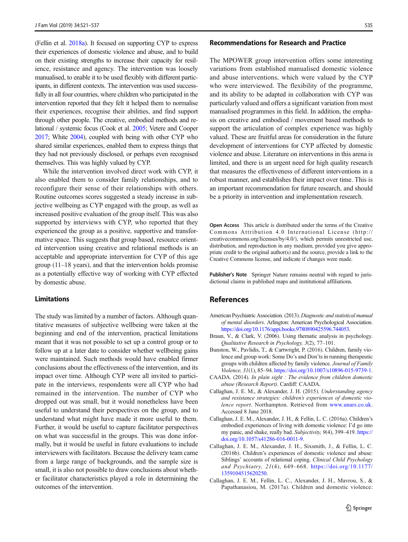<span id="page-14-0"></span>(Fellin et al. [2018a\)](#page-15-0). It focused on supporting CYP to express their experiences of domestic violence and abuse, and to build on their existing strengths to increase their capacity for resilience, resistance and agency. The intervention was loosely manualised, to enable it to be used flexibly with different participants, in different contexts. The intervention was used successfully in all four countries, where children who participated in the intervention reported that they felt it helped them to normalise their experiences, recognise their abilities, and find support through other people. The creative, embodied methods and relational / systemic focus (Cook et al. [2005](#page-15-0); Vetere and Cooper [2017](#page-16-0); White [2004](#page-16-0)), coupled with being with other CYP who shared similar experiences, enabled them to express things that they had not previously disclosed, or perhaps even recognised themselves. This was highly valued by CYP.

While the intervention involved direct work with CYP, it also enabled them to consider family relationships, and to reconfigure their sense of their relationships with others. Routine outcomes scores suggested a steady increase in subjective wellbeing as CYP engaged with the group, as well as increased positive evaluation of the group itself. This was also supported by interviews with CYP, who reported that they experienced the group as a positive, supportive and transformative space. This suggests that group based, resource oriented intervention using creative and relational methods is an acceptable and appropriate intervention for CYP of this age group (11–18 years), and that the intervention holds promise as a potentially effective way of working with CYP effected by domestic abuse.

## Limitations

The study was limited by a number of factors. Although quantitative measures of subjective wellbeing were taken at the beginning and end of the intervention, practical limitations meant that it was not possible to set up a control group or to follow up at a later date to consider whether wellbeing gains were maintained. Such methods would have enabled firmer conclusions about the effectiveness of the intervention, and its impact over time. Although CYP were all invited to participate in the interviews, respondents were all CYP who had remained in the intervention. The number of CYP who dropped out was small, but it would nonetheless have been useful to understand their perspectives on the group, and to understand what might have made it more useful to them. Further, it would be useful to capture facilitator perspectives on what was successful in the groups. This was done informally, but it would be useful in future evaluations to include interviewers with facilitators. Because the delivery team came from a large range of backgrounds, and the sample size is small, it is also not possible to draw conclusions about whether facilitator characteristics played a role in determining the outcomes of the intervention.

### Recommendations for Research and Practice

The MPOWER group intervention offers some interesting variations from established manualised domestic violence and abuse interventions, which were valued by the CYP who were interviewed. The flexibility of the programme, and its ability to be adapted in collaboration with CYP was particularly valued and offers a significant variation from most manualised programmes in this field. In addition, the emphasis on creative and embodied / movement based methods to support the articulation of complex experience was highly valued. These are fruitful areas for consideration in the future development of interventions for CYP affected by domestic violence and abuse. Literature on interventions in this arena is limited, and there is an urgent need for high quality research that measures the effectiveness of different interventions in a robust manner, and establishes their impact over time. This is an important recommendation for future research, and should be a priority in intervention and implementation research.

Open Access This article is distributed under the terms of the Creative Commons Attribution 4.0 International License (http:// creativecommons.org/licenses/by/4.0/), which permits unrestricted use, distribution, and reproduction in any medium, provided you give appropriate credit to the original author(s) and the source, provide a link to the Creative Commons license, and indicate if changes were made.

Publisher's Note Springer Nature remains neutral with regard to jurisdictional claims in published maps and institutional affiliations.

## References

- American Psychiatric Association. (2013). Diagnostic and statistical manual of mental disorders. Arlington: American Psychological Association. [https://doi.org/10.1176/appi.books.9780890425596.744053.](https://doi.org/10.1176/appi.books.9780890425596.744053)
- Braun, V., & Clark, V. (2006). Using thematic analysis in psychology. Qualitative Research in Psychology, 3(2), 77–101.
- Bunston, W., Pavlidis, T., & Cartwright, P. (2016). Children, family violence and group work: Some Do's and Don'ts in running therapeutic groups with children affected by family violence. Journal of Family Violence, 31(1), 85–94. <https://doi.org/10.1007/s10896-015-9739-1>.
- CAADA. (2014). In plain sight : The evidence from children domestic abuse (Research Report). Cardiff: CAADA.
- Callaghan, J. E. M., & Alexander, J. H. (2015). Understanding agency and resistance strategies: children's experiences of domestic violence report. Northampton. Retrieved from [www.unars.co.uk](http://www.unars.co.uk). Accessed 8 June 2018.
- Callaghan, J. E. M., Alexander, J. H., & Fellin, L. C. (2016a). Children's embodied experiences of living with domestic violence: I'd go into my panic, and shake, really bad. Subjectivity, 9(4), 399–419. [https://](https://doi.org/10.1057/s41286-016-0011-9) [doi.org/10.1057/s41286-016-0011-9](https://doi.org/10.1057/s41286-016-0011-9).
- Callaghan, J. E. M., Alexander, J. H., Sixsmith, J., & Fellin, L. C. (2016b). Children's experiences of domestic violence and abuse: Siblings' accounts of relational coping. Clinical Child Psychology and Psychiatry, 21(4), 649–668. [https://doi.org/10.1177/](https://doi.org/10.1177/1359104515620250) [1359104515620250](https://doi.org/10.1177/1359104515620250).
- Callaghan, J. E. M., Fellin, L. C., Alexander, J. H., Mavrou, S., & Papathanasiou, M. (2017a). Children and domestic violence: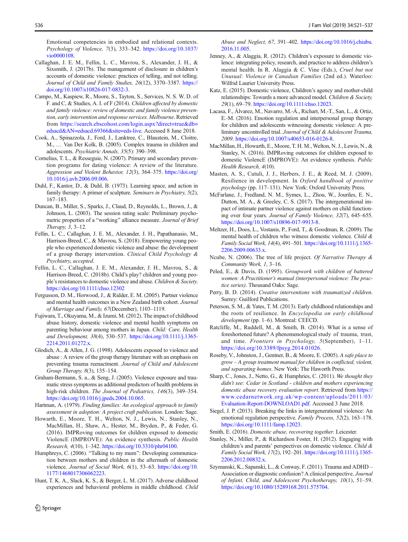<span id="page-15-0"></span>Emotional competencies in embodied and relational contexts. Psychology of Violence, 7(3), 333–342. [https://doi.org/10.1037/](https://doi.org/10.1037/vio0000108) [vio0000108](https://doi.org/10.1037/vio0000108)

- Callaghan, J. E. M., Fellin, L. C., Mavrou, S., Alexander, J. H., & Sixsmith, J. (2017b). The management of disclosure in children's accounts of domestic violence: practices of telling, and not telling. Journal of Child and Family Studies, 26(12), 3370–3387. [https://](https://doi.org/10.1007/s10826-017-0832-3) [doi.org/10.1007/s10826-017-0832-3](https://doi.org/10.1007/s10826-017-0832-3).
- Campo, M., Kaspiew, R., Moore, S., Tayton, S., Services, N. S. W. D. of F. and C, & Studies, A. I. of F (2014). Children affected by domestic and family violence: review of domestic and family violence prevention, early intervention and response services. Melbourne. Retrieved from [https://search.ebscohost.com/login.aspx?direct=true&db=](https://search.ebscohost.com/login.aspx?direct=true&db=edsacd&AN=edsacd.69366&site=eds-live) [edsacd&AN=edsacd.69366&site=eds-live](https://search.ebscohost.com/login.aspx?direct=true&db=edsacd&AN=edsacd.69366&site=eds-live). Accessed 8 June 2018.
- Cook, A., Spinazzola, J., Ford, J., Lanktree, C., Blaustein, M., Cloitre, M., … Van Der Kolk, B. (2005). Complex trauma in children and adolescents. Psychiatric Annals, 35(5): 390–398.
- Cornelius, T. L., & Resseguie, N. (2007). Primary and secondary prevention programs for dating violence: A review of the literature. Aggression and Violent Behavior, 12(3), 364–375. [https://doi.org/](https://doi.org/10.1016/j.avb.2006.09.006) [10.1016/j.avb.2006.09.006](https://doi.org/10.1016/j.avb.2006.09.006).
- Duhl, F., Kantor, D., & Duhl, B. (1973). Learning space, and action in family therapy: A primer of sculpture. Seminars in Psychiatry, 5(2), 167–183.
- Duncan, B., Miller, S., Sparks, J., Claud, D., Reynolds, L., Brown, J., & Johnson, L. (2003). The session rating scale: Preliminary psychometric properties of a "working" alliance measure. Journal of Brief Therapy, 3, 3–12.
- Fellin, L. C., Callaghan, J. E. M., Alexander, J. H., Papathanasio, M., Harrison-Breed, C., & Mavrou, S. (2018). Empowering young people who experienced domestic violence and abuse: the development of a group therapy intervention. Clinical Child Psychology & Psychiatry, accepted.
- Fellin, L. C., Callaghan, J. E. M., Alexander, J. H., Mavrou, S., & Harrison-Breed, C. (2018b). Child's play? children and young people's resistances to domestic violence and abuse. Children & Society. <https://doi.org/10.1111/chso.12302>
- Fergusson, D. M., Horwood, J., & Ridder, E. M. (2005). Partner violence and mental health outcomes in a New Zealand birth cohort. Journal of Marriage and Family, 67(December), 1103–1119.
- Fujiwara, T., Okuyama, M., & Izumi, M. (2012). The impact of childhood abuse history, domestic violence and mental health symptoms on parenting behaviour among mothers in Japan. Child: Care, Health and Development, 38(4), 530–537. [https://doi.org/10.1111/j.1365-](https://doi.org/10.1111/j.1365-2214.2011.01272.x) [2214.2011.01272.x.](https://doi.org/10.1111/j.1365-2214.2011.01272.x)
- Glodich, A., & Allen, J. G. (1998). Adolescents exposed to violence and abuse : A review of the group therapy literature with an emphasis on preventing trauma reenactment. Journal of Child and Adolescent Group Therapy, 8(3), 135–154.
- Graham-Bermann, S. a., & Seng, J. (2005). Violence exposure and traumatic stress symptoms as additional predictors of health problems in high-risk children. The Journal of Pediatrics, 146(3), 349-354. [https://doi.org/10.1016/j.jpeds.2004.10.065.](https://doi.org/10.1016/j.jpeds.2004.10.065)
- Hartman, A. (1979). Finding families: An ecological approach to family assessment in adoption: A project craft publication. London: Sage.
- Howarth, E., Moore, T. H., Welton, N. J., Lewis, N., Stanley, N., MacMillan, H., Shaw, A., Hester, M., Bryden, P., & Feder, G. (2016). IMPRoving outcomes for children exposed to domestic ViolencE (IMPROVE): An evidence synthesis. Public Health Research, 4(10), 1–342. [https://doi.org/10.3310/phr04100.](http://www.unars.co.uk)
- Humphreys, C. (2006). "Talking to my mum": Developing communication between mothers and children in the aftermath of domestic violence. Journal of Social Work, 6(1), 53-63. [https://doi.org/10.](https://doi.org/10.1177/1468017306062223) [1177/1468017306062223.](https://doi.org/10.1177/1468017306062223)
- Hunt, T. K. A., Slack, K. S., & Berger, L. M. (2017). Adverse childhood experiences and behavioral problems in middle childhood. Child

Abuse and Neglect, 67, 391–402. [https://doi.org/10.1016/j.chiabu.](https://doi.org/10.1016/j.chiabu.2016.11.005) [2016.11.005](https://doi.org/10.1016/j.chiabu.2016.11.005).

- Jenney, A., & Alaggia, R. (2012). Children's exposure to domestic violence: integrating policy, research, and practice to address children's mental health. In R. Alaggia & C. Vine (Eds.), Cruel but not Unusual: Violence in Canadian Families (2nd ed.). Waterloo: Wilfrid Laurier University Press.
- Katz, E. (2015). Domestic violence, Children's agency and mother-child relationships: Towards a more advanced model. Children & Society, 29(1), 69–79. [https://doi.org/10.1111/chso.12023.](https://doi.org/10.1111/chso.12023)
- Lacasa, F., Álvarez, M., Navarro, M.-Á., Richart, M.-T., San, L., & Ortiz, E.-M. (2016). Emotion regulation and interpersonal group therapy for children and adolescents witnessing domestic violence: A preliminary uncontrolled trial. Journal of Child & Adolescent Trauma, 2009. [https://doi.org/10.1007/s40653-016-0126-8.](https://doi.org/10.1007/s40653-016-0126-8)
- MacMillan, H., Howarth, E., Moore, T. H. M., Welton, N. J., Lewis, N., & Stanley, N. (2016). IMPRoving outcomes for children exposed to domestic ViolencE (IMPROVE): An evidence synthesis. Public Health Research, 4(10).
- Masten, A. S., Cutuli, J. J., Herbers, J. E., & Reed, M. J. (2009). Resilience in development. In Oxford handbook of positive psychology (pp. 117–131). New York: Oxford University Press.
- McFarlane, J., Fredland, N. M., Symes, L., Zhou, W., Jouriles, E. N., Dutton, M. A., & Greeley, C. S. (2017). The intergenerational impact of intimate partner violence against mothers on child functioning over four years. Journal of Family Violence, 32(7), 645–655. [https://doi.org/10.1007/s10896-017-9913-8.](https://doi.org/10.1007/s10896-017-9913-8)
- Meltzer, H., Doos, L., Vostanis, P., Ford, T., & Goodman, R. (2009). The mental health of children who witness domestic violence. Child & Family Social Work, 14(4), 491–501. [https://doi.org/10.1111/j.1365-](https://doi.org/10.1111/j.1365-2206.2009.00633.x) [2206.2009.00633.x](https://doi.org/10.1111/j.1365-2206.2009.00633.x).
- Ncube, N. (2006). The tree of life project. Of Narrative Therapy & Community Work, 1, 3–16.
- Peled, E., & Davis, D. (1995). Groupwork with children of battered women: A Practitioner's manual (interpersonal violence: The practice series). Thousand Oaks: Sage.
- Perry, B. D. (2014). Creative interventions with traumatized children. Surrey: Guilford Publications.
- Peterson, S. M., & Yates, T. M. (2013). Early childhood relationships and the roots of resilience. In Encyclopedia on early childhood development (pp. 1–6). Montreal: CEECD.
- Ratcliffe, M., Ruddell, M., & Smith, B. (2014). What is a sense of foreshortened future? A phenomenological study of trauma, trust, and time. Frontiers in Psychology, 5(September), 1–11. <https://doi.org/10.3389/fpsyg.2014.01026>.
- Roseby, V., Johnston, J., Gentner, B., & Moore, E. (2005). A safe place to grow – A group treatment manual for children in conflicted, violent, and separating homes. New York: The Haworth Press.
- Sharp, C., Jones, J., Netto, G., & Humphries, C. (2011). We thought they didn't see: Cedar in Scotland - children and mothers experiencing domestic abuse recovery evaluation report. Retrieved from [https://](https://www.cedarnetwork.org.uk/wp-content/uploads/2011/03/Evaluation-Report-DOWNLOAD1.pdf) [www.cedarnetwork.org.uk/wp-content/uploads/2011/03/](https://www.cedarnetwork.org.uk/wp-content/uploads/2011/03/Evaluation-Report-DOWNLOAD1.pdf) [Evaluation-Report-DOWNLOAD1.pdf.](https://www.cedarnetwork.org.uk/wp-content/uploads/2011/03/Evaluation-Report-DOWNLOAD1.pdf) Accessed 3 June 2018.
- Siegel, J. P. (2013). Breaking the links in intergenerational violence: An emotional regulation perspective. Family Process, 52(2), 163–178. [https://doi.org/10.1111/famp.12023.](https://doi.org/10.1111/famp.12023)
- Smith, E. (2016). Domestic abuse, recovering together. Leicester.
- Stanley, N., Miller, P., & Richardson Foster, H. (2012). Engaging with children's and parents' perspectives on domestic violence. Child & Family Social Work, 17(2), 192–201. [https://doi.org/10.1111/j.1365-](https://doi.org/10.1111/j.1365-2206.2012.00832.x) [2206.2012.00832.x](https://doi.org/10.1111/j.1365-2206.2012.00832.x).
- Szymanski, K., Sapanski, L., & Conway, F. (2011). Trauma and ADHD Association or diagnostic confusion? A clinical perspective. Journal of Infant, Child, and Adolescent Psychotherapy, 10(1), 51–59. <https://doi.org/10.1080/15289168.2011.575704>.